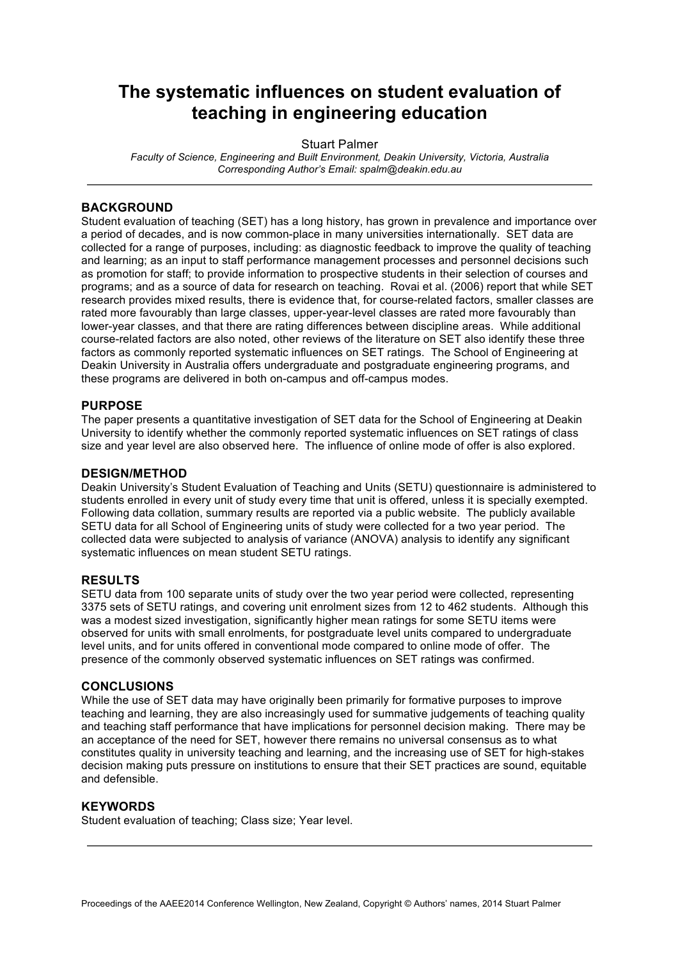## **The systematic influences on student evaluation of teaching in engineering education**

Stuart Palmer

*Faculty of Science, Engineering and Built Environment, Deakin University, Victoria, Australia Corresponding Author's Email: spalm@deakin.edu.au*

### **BACKGROUND**

Student evaluation of teaching (SET) has a long history, has grown in prevalence and importance over a period of decades, and is now common-place in many universities internationally. SET data are collected for a range of purposes, including: as diagnostic feedback to improve the quality of teaching and learning; as an input to staff performance management processes and personnel decisions such as promotion for staff; to provide information to prospective students in their selection of courses and programs; and as a source of data for research on teaching. Rovai et al. (2006) report that while SET research provides mixed results, there is evidence that, for course-related factors, smaller classes are rated more favourably than large classes, upper-year-level classes are rated more favourably than lower-year classes, and that there are rating differences between discipline areas. While additional course-related factors are also noted, other reviews of the literature on SET also identify these three factors as commonly reported systematic influences on SET ratings. The School of Engineering at Deakin University in Australia offers undergraduate and postgraduate engineering programs, and these programs are delivered in both on-campus and off-campus modes.

### **PURPOSE**

The paper presents a quantitative investigation of SET data for the School of Engineering at Deakin University to identify whether the commonly reported systematic influences on SET ratings of class size and year level are also observed here. The influence of online mode of offer is also explored.

### **DESIGN/METHOD**

Deakin University's Student Evaluation of Teaching and Units (SETU) questionnaire is administered to students enrolled in every unit of study every time that unit is offered, unless it is specially exempted. Following data collation, summary results are reported via a public website. The publicly available SETU data for all School of Engineering units of study were collected for a two year period. The collected data were subjected to analysis of variance (ANOVA) analysis to identify any significant systematic influences on mean student SETU ratings.

### **RESULTS**

SETU data from 100 separate units of study over the two year period were collected, representing 3375 sets of SETU ratings, and covering unit enrolment sizes from 12 to 462 students. Although this was a modest sized investigation, significantly higher mean ratings for some SETU items were observed for units with small enrolments, for postgraduate level units compared to undergraduate level units, and for units offered in conventional mode compared to online mode of offer. The presence of the commonly observed systematic influences on SET ratings was confirmed.

#### **CONCLUSIONS**

While the use of SET data may have originally been primarily for formative purposes to improve teaching and learning, they are also increasingly used for summative judgements of teaching quality and teaching staff performance that have implications for personnel decision making. There may be an acceptance of the need for SET, however there remains no universal consensus as to what constitutes quality in university teaching and learning, and the increasing use of SET for high-stakes decision making puts pressure on institutions to ensure that their SET practices are sound, equitable and defensible.

### **KEYWORDS**

Student evaluation of teaching; Class size; Year level.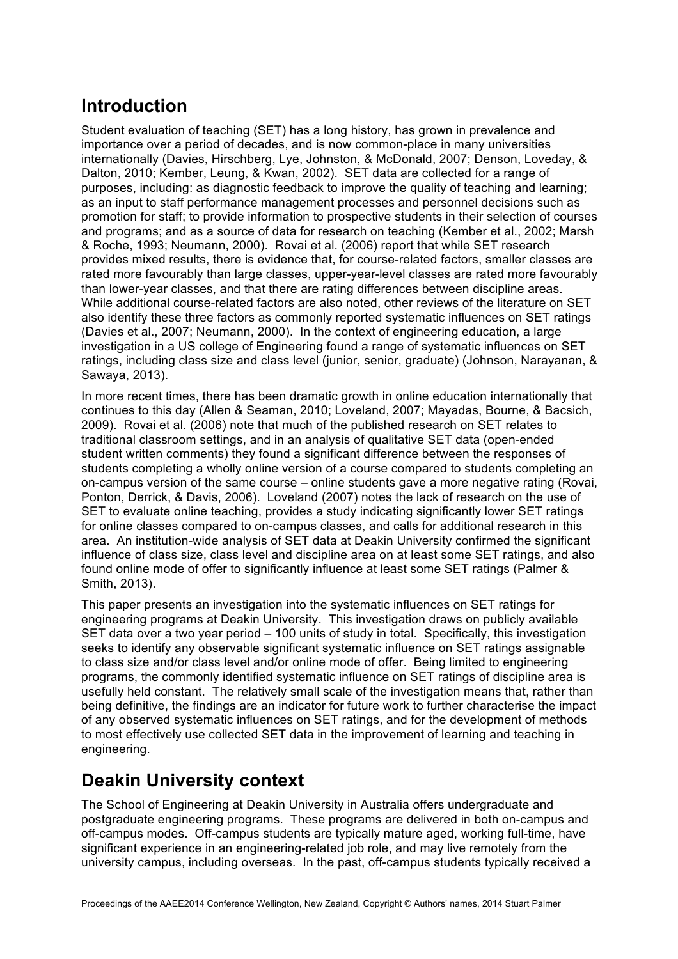# **Introduction**

Student evaluation of teaching (SET) has a long history, has grown in prevalence and importance over a period of decades, and is now common-place in many universities internationally (Davies, Hirschberg, Lye, Johnston, & McDonald, 2007; Denson, Loveday, & Dalton, 2010; Kember, Leung, & Kwan, 2002). SET data are collected for a range of purposes, including: as diagnostic feedback to improve the quality of teaching and learning; as an input to staff performance management processes and personnel decisions such as promotion for staff; to provide information to prospective students in their selection of courses and programs; and as a source of data for research on teaching (Kember et al., 2002; Marsh & Roche, 1993; Neumann, 2000). Rovai et al. (2006) report that while SET research provides mixed results, there is evidence that, for course-related factors, smaller classes are rated more favourably than large classes, upper-year-level classes are rated more favourably than lower-year classes, and that there are rating differences between discipline areas. While additional course-related factors are also noted, other reviews of the literature on SET also identify these three factors as commonly reported systematic influences on SET ratings (Davies et al., 2007; Neumann, 2000). In the context of engineering education, a large investigation in a US college of Engineering found a range of systematic influences on SET ratings, including class size and class level (junior, senior, graduate) (Johnson, Narayanan, & Sawaya, 2013).

In more recent times, there has been dramatic growth in online education internationally that continues to this day (Allen & Seaman, 2010; Loveland, 2007; Mayadas, Bourne, & Bacsich, 2009). Rovai et al. (2006) note that much of the published research on SET relates to traditional classroom settings, and in an analysis of qualitative SET data (open-ended student written comments) they found a significant difference between the responses of students completing a wholly online version of a course compared to students completing an on-campus version of the same course – online students gave a more negative rating (Rovai, Ponton, Derrick, & Davis, 2006). Loveland (2007) notes the lack of research on the use of SET to evaluate online teaching, provides a study indicating significantly lower SET ratings for online classes compared to on-campus classes, and calls for additional research in this area. An institution-wide analysis of SET data at Deakin University confirmed the significant influence of class size, class level and discipline area on at least some SET ratings, and also found online mode of offer to significantly influence at least some SET ratings (Palmer & Smith, 2013).

This paper presents an investigation into the systematic influences on SET ratings for engineering programs at Deakin University. This investigation draws on publicly available SET data over a two year period – 100 units of study in total. Specifically, this investigation seeks to identify any observable significant systematic influence on SET ratings assignable to class size and/or class level and/or online mode of offer. Being limited to engineering programs, the commonly identified systematic influence on SET ratings of discipline area is usefully held constant. The relatively small scale of the investigation means that, rather than being definitive, the findings are an indicator for future work to further characterise the impact of any observed systematic influences on SET ratings, and for the development of methods to most effectively use collected SET data in the improvement of learning and teaching in engineering.

# **Deakin University context**

The School of Engineering at Deakin University in Australia offers undergraduate and postgraduate engineering programs. These programs are delivered in both on-campus and off-campus modes. Off-campus students are typically mature aged, working full-time, have significant experience in an engineering-related job role, and may live remotely from the university campus, including overseas. In the past, off-campus students typically received a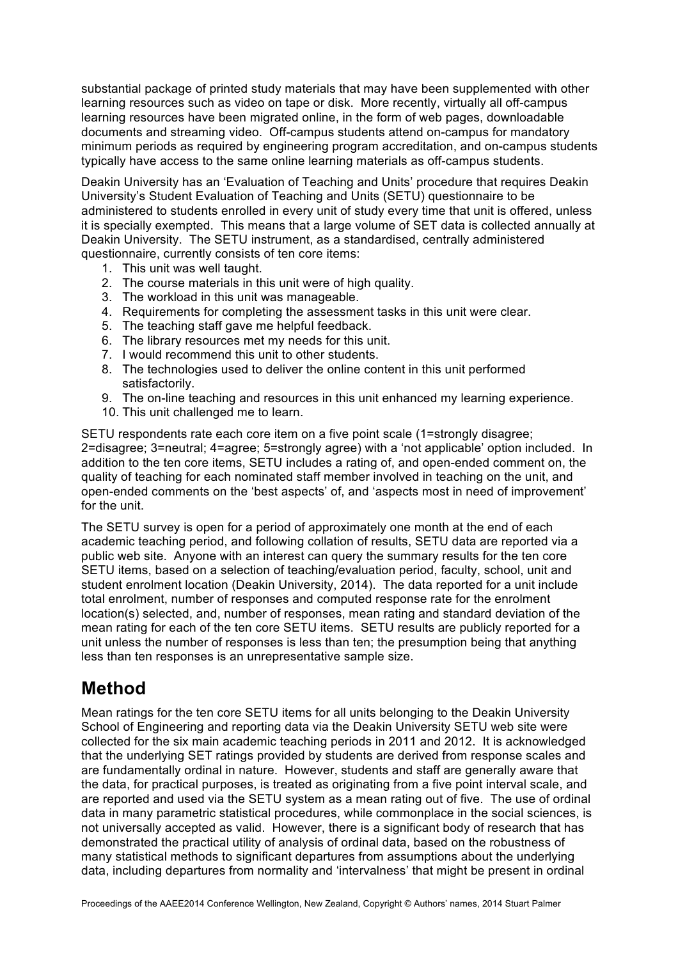substantial package of printed study materials that may have been supplemented with other learning resources such as video on tape or disk. More recently, virtually all off-campus learning resources have been migrated online, in the form of web pages, downloadable documents and streaming video. Off-campus students attend on-campus for mandatory minimum periods as required by engineering program accreditation, and on-campus students typically have access to the same online learning materials as off-campus students.

Deakin University has an 'Evaluation of Teaching and Units' procedure that requires Deakin University's Student Evaluation of Teaching and Units (SETU) questionnaire to be administered to students enrolled in every unit of study every time that unit is offered, unless it is specially exempted. This means that a large volume of SET data is collected annually at Deakin University. The SETU instrument, as a standardised, centrally administered questionnaire, currently consists of ten core items:

- 1. This unit was well taught.
- 2. The course materials in this unit were of high quality.
- 3. The workload in this unit was manageable.
- 4. Requirements for completing the assessment tasks in this unit were clear.
- 5. The teaching staff gave me helpful feedback.
- 6. The library resources met my needs for this unit.
- 7. I would recommend this unit to other students.
- 8. The technologies used to deliver the online content in this unit performed satisfactorily.
- 9. The on-line teaching and resources in this unit enhanced my learning experience.
- 10. This unit challenged me to learn.

SETU respondents rate each core item on a five point scale (1=strongly disagree; 2=disagree; 3=neutral; 4=agree; 5=strongly agree) with a 'not applicable' option included. In addition to the ten core items, SETU includes a rating of, and open-ended comment on, the quality of teaching for each nominated staff member involved in teaching on the unit, and open-ended comments on the 'best aspects' of, and 'aspects most in need of improvement' for the unit.

The SETU survey is open for a period of approximately one month at the end of each academic teaching period, and following collation of results, SETU data are reported via a public web site. Anyone with an interest can query the summary results for the ten core SETU items, based on a selection of teaching/evaluation period, faculty, school, unit and student enrolment location (Deakin University, 2014). The data reported for a unit include total enrolment, number of responses and computed response rate for the enrolment location(s) selected, and, number of responses, mean rating and standard deviation of the mean rating for each of the ten core SETU items. SETU results are publicly reported for a unit unless the number of responses is less than ten; the presumption being that anything less than ten responses is an unrepresentative sample size.

## **Method**

Mean ratings for the ten core SETU items for all units belonging to the Deakin University School of Engineering and reporting data via the Deakin University SETU web site were collected for the six main academic teaching periods in 2011 and 2012. It is acknowledged that the underlying SET ratings provided by students are derived from response scales and are fundamentally ordinal in nature. However, students and staff are generally aware that the data, for practical purposes, is treated as originating from a five point interval scale, and are reported and used via the SETU system as a mean rating out of five. The use of ordinal data in many parametric statistical procedures, while commonplace in the social sciences, is not universally accepted as valid. However, there is a significant body of research that has demonstrated the practical utility of analysis of ordinal data, based on the robustness of many statistical methods to significant departures from assumptions about the underlying data, including departures from normality and 'intervalness' that might be present in ordinal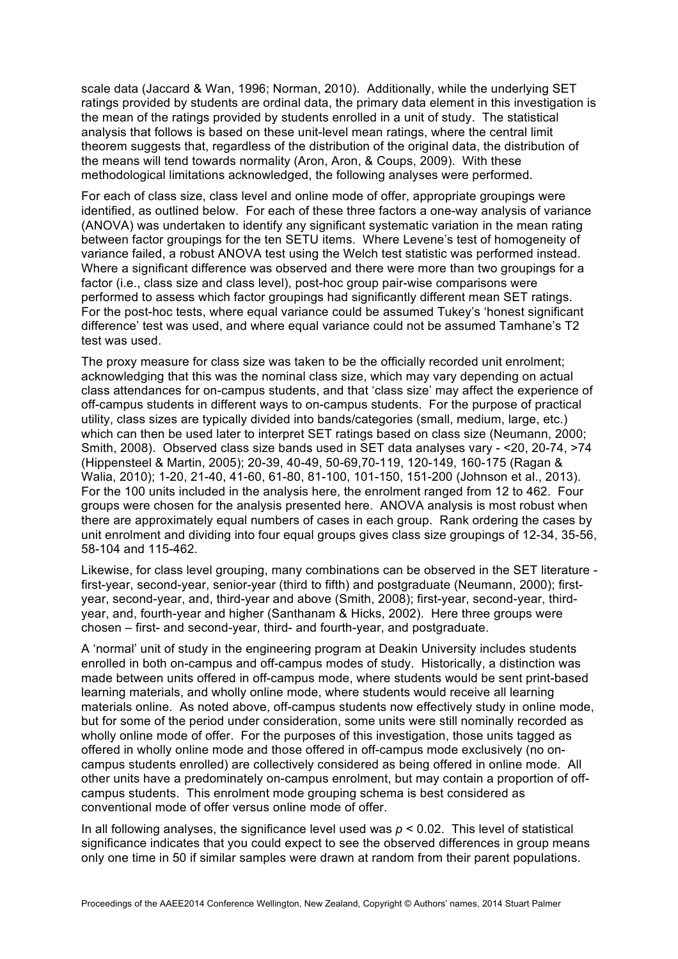scale data (Jaccard & Wan, 1996; Norman, 2010). Additionally, while the underlying SET ratings provided by students are ordinal data, the primary data element in this investigation is the mean of the ratings provided by students enrolled in a unit of study. The statistical analysis that follows is based on these unit-level mean ratings, where the central limit theorem suggests that, regardless of the distribution of the original data, the distribution of the means will tend towards normality (Aron, Aron, & Coups, 2009). With these methodological limitations acknowledged, the following analyses were performed.

For each of class size, class level and online mode of offer, appropriate groupings were identified, as outlined below. For each of these three factors a one-way analysis of variance (ANOVA) was undertaken to identify any significant systematic variation in the mean rating between factor groupings for the ten SETU items. Where Levene's test of homogeneity of variance failed, a robust ANOVA test using the Welch test statistic was performed instead. Where a significant difference was observed and there were more than two groupings for a factor (i.e., class size and class level), post-hoc group pair-wise comparisons were performed to assess which factor groupings had significantly different mean SET ratings. For the post-hoc tests, where equal variance could be assumed Tukey's 'honest significant difference' test was used, and where equal variance could not be assumed Tamhane's T2 test was used.

The proxy measure for class size was taken to be the officially recorded unit enrolment; acknowledging that this was the nominal class size, which may vary depending on actual class attendances for on-campus students, and that 'class size' may affect the experience of off-campus students in different ways to on-campus students. For the purpose of practical utility, class sizes are typically divided into bands/categories (small, medium, large, etc.) which can then be used later to interpret SET ratings based on class size (Neumann, 2000; Smith, 2008). Observed class size bands used in SET data analyses vary - <20, 20-74, >74 (Hippensteel & Martin, 2005); 20-39, 40-49, 50-69,70-119, 120-149, 160-175 (Ragan & Walia, 2010); 1-20, 21-40, 41-60, 61-80, 81-100, 101-150, 151-200 (Johnson et al., 2013). For the 100 units included in the analysis here, the enrolment ranged from 12 to 462. Four groups were chosen for the analysis presented here. ANOVA analysis is most robust when there are approximately equal numbers of cases in each group. Rank ordering the cases by unit enrolment and dividing into four equal groups gives class size groupings of 12-34, 35-56, 58-104 and 115-462.

Likewise, for class level grouping, many combinations can be observed in the SET literature first-year, second-year, senior-year (third to fifth) and postgraduate (Neumann, 2000); firstyear, second-year, and, third-year and above (Smith, 2008); first-year, second-year, thirdyear, and, fourth-year and higher (Santhanam & Hicks, 2002). Here three groups were chosen – first- and second-year, third- and fourth-year, and postgraduate.

A 'normal' unit of study in the engineering program at Deakin University includes students enrolled in both on-campus and off-campus modes of study. Historically, a distinction was made between units offered in off-campus mode, where students would be sent print-based learning materials, and wholly online mode, where students would receive all learning materials online. As noted above, off-campus students now effectively study in online mode, but for some of the period under consideration, some units were still nominally recorded as wholly online mode of offer. For the purposes of this investigation, those units tagged as offered in wholly online mode and those offered in off-campus mode exclusively (no oncampus students enrolled) are collectively considered as being offered in online mode. All other units have a predominately on-campus enrolment, but may contain a proportion of offcampus students. This enrolment mode grouping schema is best considered as conventional mode of offer versus online mode of offer.

In all following analyses, the significance level used was  $p < 0.02$ . This level of statistical significance indicates that you could expect to see the observed differences in group means only one time in 50 if similar samples were drawn at random from their parent populations.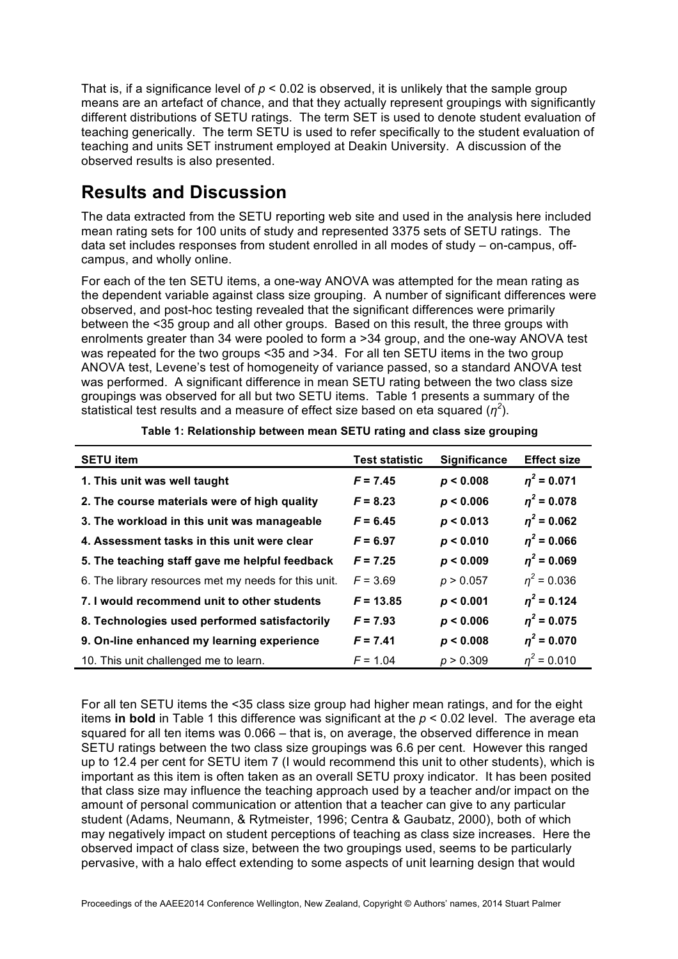That is, if a significance level of  $p < 0.02$  is observed, it is unlikely that the sample group means are an artefact of chance, and that they actually represent groupings with significantly different distributions of SETU ratings. The term SET is used to denote student evaluation of teaching generically. The term SETU is used to refer specifically to the student evaluation of teaching and units SET instrument employed at Deakin University. A discussion of the observed results is also presented.

# **Results and Discussion**

The data extracted from the SETU reporting web site and used in the analysis here included mean rating sets for 100 units of study and represented 3375 sets of SETU ratings. The data set includes responses from student enrolled in all modes of study – on-campus, offcampus, and wholly online.

For each of the ten SETU items, a one-way ANOVA was attempted for the mean rating as the dependent variable against class size grouping. A number of significant differences were observed, and post-hoc testing revealed that the significant differences were primarily between the <35 group and all other groups. Based on this result, the three groups with enrolments greater than 34 were pooled to form a >34 group, and the one-way ANOVA test was repeated for the two groups <35 and >34. For all ten SETU items in the two group ANOVA test, Levene's test of homogeneity of variance passed, so a standard ANOVA test was performed. A significant difference in mean SETU rating between the two class size groupings was observed for all but two SETU items. Table 1 presents a summary of the statistical test results and a measure of effect size based on eta squared  $(\eta^2)$ .

| <b>SETU item</b>                                     | <b>Test statistic</b> | Significance | <b>Effect size</b> |
|------------------------------------------------------|-----------------------|--------------|--------------------|
| 1. This unit was well taught                         | $F = 7.45$            | p < 0.008    | $\eta^2$ = 0.071   |
| 2. The course materials were of high quality         | $F = 8.23$            | p < 0.006    | $\eta^2$ = 0.078   |
| 3. The workload in this unit was manageable          | $F = 6.45$            | p < 0.013    | $\eta^2$ = 0.062   |
| 4. Assessment tasks in this unit were clear          | $F = 6.97$            | p < 0.010    | $\eta^2$ = 0.066   |
| 5. The teaching staff gave me helpful feedback       | $F = 7.25$            | p < 0.009    | $n^2$ = 0.069      |
| 6. The library resources met my needs for this unit. | $F = 3.69$            | p > 0.057    | $n^2$ = 0.036      |
| 7. I would recommend unit to other students          | $F = 13.85$           | p < 0.001    | $n^2$ = 0.124      |
| 8. Technologies used performed satisfactorily        | $F = 7.93$            | p < 0.006    | $\eta^2$ = 0.075   |
| 9. On-line enhanced my learning experience           | $F = 7.41$            | p < 0.008    | $\eta^2$ = 0.070   |
| 10. This unit challenged me to learn.                | $F = 1.04$            | p > 0.309    | $n^2$ = 0.010      |

**Table 1: Relationship between mean SETU rating and class size grouping**

For all ten SETU items the <35 class size group had higher mean ratings, and for the eight items **in bold** in Table 1 this difference was significant at the *p* < 0.02 level. The average eta squared for all ten items was 0.066 – that is, on average, the observed difference in mean SETU ratings between the two class size groupings was 6.6 per cent. However this ranged up to 12.4 per cent for SETU item 7 (I would recommend this unit to other students), which is important as this item is often taken as an overall SETU proxy indicator. It has been posited that class size may influence the teaching approach used by a teacher and/or impact on the amount of personal communication or attention that a teacher can give to any particular student (Adams, Neumann, & Rytmeister, 1996; Centra & Gaubatz, 2000), both of which may negatively impact on student perceptions of teaching as class size increases. Here the observed impact of class size, between the two groupings used, seems to be particularly pervasive, with a halo effect extending to some aspects of unit learning design that would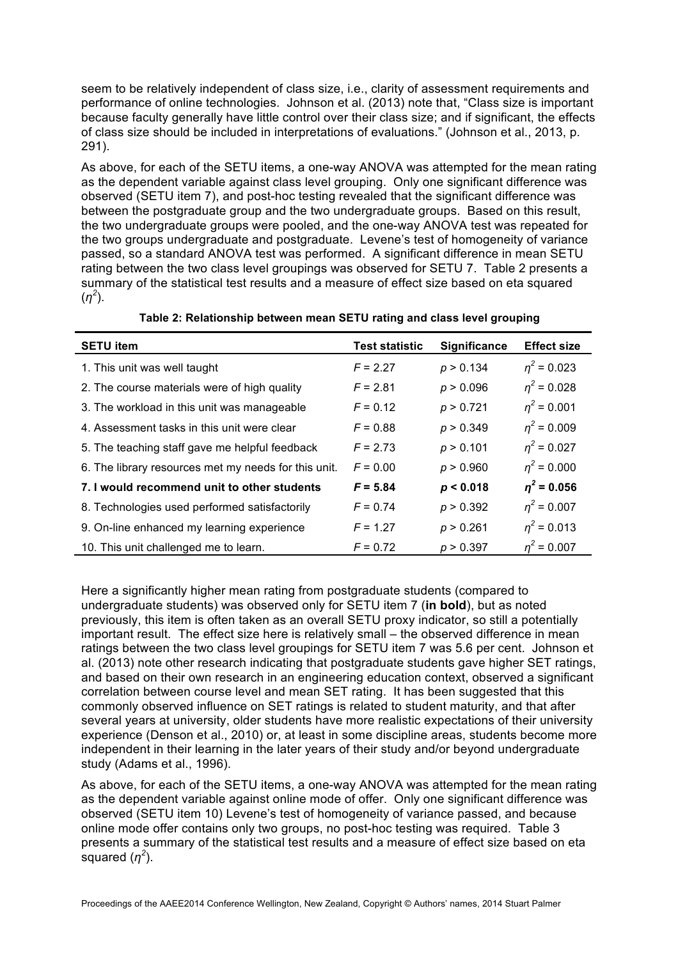seem to be relatively independent of class size, i.e., clarity of assessment requirements and performance of online technologies. Johnson et al. (2013) note that, "Class size is important because faculty generally have little control over their class size; and if significant, the effects of class size should be included in interpretations of evaluations." (Johnson et al., 2013, p. 291).

As above, for each of the SETU items, a one-way ANOVA was attempted for the mean rating as the dependent variable against class level grouping. Only one significant difference was observed (SETU item 7), and post-hoc testing revealed that the significant difference was between the postgraduate group and the two undergraduate groups. Based on this result, the two undergraduate groups were pooled, and the one-way ANOVA test was repeated for the two groups undergraduate and postgraduate. Levene's test of homogeneity of variance passed, so a standard ANOVA test was performed. A significant difference in mean SETU rating between the two class level groupings was observed for SETU 7. Table 2 presents a summary of the statistical test results and a measure of effect size based on eta squared (*η<sup>2</sup>* ).

| <b>SETU item</b>                                     | <b>Test statistic</b> | Significance | <b>Effect size</b> |
|------------------------------------------------------|-----------------------|--------------|--------------------|
| 1. This unit was well taught                         | $F = 2.27$            | p > 0.134    | $n^2$ = 0.023      |
| 2. The course materials were of high quality         | $F = 2.81$            | p > 0.096    | $n^2$ = 0.028      |
| 3. The workload in this unit was manageable          | $F = 0.12$            | p > 0.721    | $\eta^2$ = 0.001   |
| 4. Assessment tasks in this unit were clear          | $F = 0.88$            | p > 0.349    | $n^2$ = 0.009      |
| 5. The teaching staff gave me helpful feedback       | $F = 2.73$            | p > 0.101    | $\eta^2$ = 0.027   |
| 6. The library resources met my needs for this unit. | $F = 0.00$            | p > 0.960    | $\eta^2$ = 0.000   |
| 7. I would recommend unit to other students          | $F = 5.84$            | p < 0.018    | $n^2$ = 0.056      |
| 8. Technologies used performed satisfactorily        | $F = 0.74$            | p > 0.392    | $\eta^2$ = 0.007   |
| 9. On-line enhanced my learning experience           | $F = 1.27$            | p > 0.261    | $\eta^2$ = 0.013   |
| 10. This unit challenged me to learn.                | $F = 0.72$            | p > 0.397    | $n^2$ = 0.007      |

**Table 2: Relationship between mean SETU rating and class level grouping**

Here a significantly higher mean rating from postgraduate students (compared to undergraduate students) was observed only for SETU item 7 (**in bold**), but as noted previously, this item is often taken as an overall SETU proxy indicator, so still a potentially important result. The effect size here is relatively small – the observed difference in mean ratings between the two class level groupings for SETU item 7 was 5.6 per cent. Johnson et al. (2013) note other research indicating that postgraduate students gave higher SET ratings, and based on their own research in an engineering education context, observed a significant correlation between course level and mean SET rating. It has been suggested that this commonly observed influence on SET ratings is related to student maturity, and that after several years at university, older students have more realistic expectations of their university experience (Denson et al., 2010) or, at least in some discipline areas, students become more independent in their learning in the later years of their study and/or beyond undergraduate study (Adams et al., 1996).

As above, for each of the SETU items, a one-way ANOVA was attempted for the mean rating as the dependent variable against online mode of offer. Only one significant difference was observed (SETU item 10) Levene's test of homogeneity of variance passed, and because online mode offer contains only two groups, no post-hoc testing was required. Table 3 presents a summary of the statistical test results and a measure of effect size based on eta squared  $(\eta^2)$ .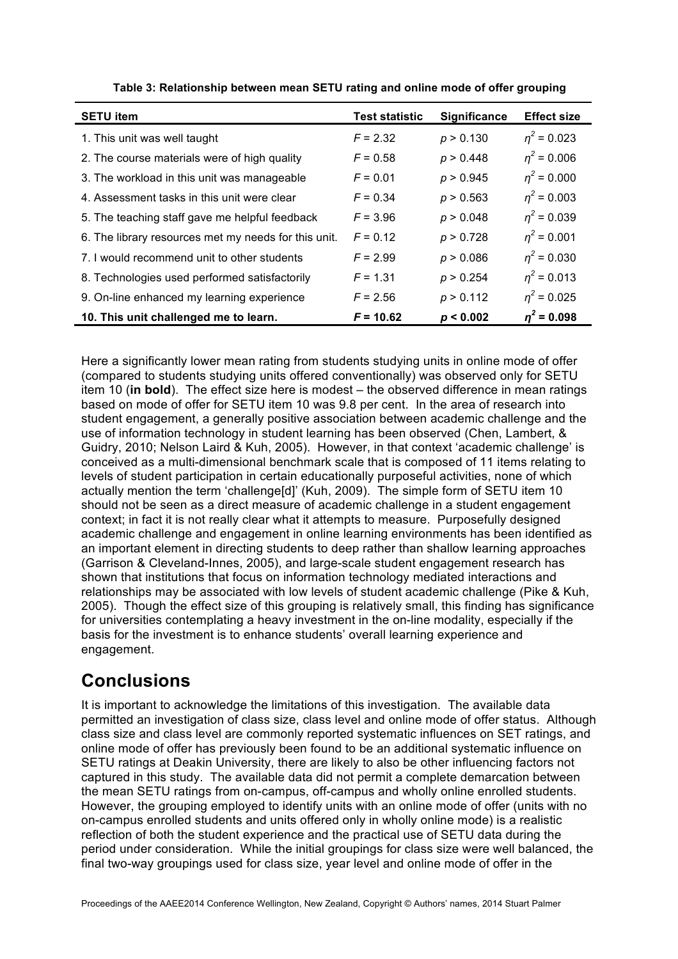| <b>SETU item</b>                                     | <b>Test statistic</b> | <b>Significance</b> | <b>Effect size</b> |
|------------------------------------------------------|-----------------------|---------------------|--------------------|
| 1. This unit was well taught                         | $F = 2.32$            | p > 0.130           | $n^2$ = 0.023      |
| 2. The course materials were of high quality         | $F = 0.58$            | p > 0.448           | $n^2$ = 0.006      |
| 3. The workload in this unit was manageable          | $F = 0.01$            | p > 0.945           | $\eta^2$ = 0.000   |
| 4. Assessment tasks in this unit were clear          | $F = 0.34$            | p > 0.563           | $n^2$ = 0.003      |
| 5. The teaching staff gave me helpful feedback       | $F = 3.96$            | p > 0.048           | $n^2$ = 0.039      |
| 6. The library resources met my needs for this unit. | $F = 0.12$            | p > 0.728           | $n^2$ = 0.001      |
| 7. I would recommend unit to other students          | $F = 2.99$            | p > 0.086           | $n^2$ = 0.030      |
| 8. Technologies used performed satisfactorily        | $F = 1.31$            | p > 0.254           | $n^2$ = 0.013      |
| 9. On-line enhanced my learning experience           | $F = 2.56$            | p > 0.112           | $\eta^2$ = 0.025   |
| 10. This unit challenged me to learn.                | $F = 10.62$           | p < 0.002           | $n^2$ = 0.098      |

| Table 3: Relationship between mean SETU rating and online mode of offer grouping |  |  |
|----------------------------------------------------------------------------------|--|--|
|----------------------------------------------------------------------------------|--|--|

Here a significantly lower mean rating from students studying units in online mode of offer (compared to students studying units offered conventionally) was observed only for SETU item 10 (**in bold**). The effect size here is modest – the observed difference in mean ratings based on mode of offer for SETU item 10 was 9.8 per cent. In the area of research into student engagement, a generally positive association between academic challenge and the use of information technology in student learning has been observed (Chen, Lambert, & Guidry, 2010; Nelson Laird & Kuh, 2005). However, in that context 'academic challenge' is conceived as a multi-dimensional benchmark scale that is composed of 11 items relating to levels of student participation in certain educationally purposeful activities, none of which actually mention the term 'challenge[d]' (Kuh, 2009). The simple form of SETU item 10 should not be seen as a direct measure of academic challenge in a student engagement context; in fact it is not really clear what it attempts to measure. Purposefully designed academic challenge and engagement in online learning environments has been identified as an important element in directing students to deep rather than shallow learning approaches (Garrison & Cleveland-Innes, 2005), and large-scale student engagement research has shown that institutions that focus on information technology mediated interactions and relationships may be associated with low levels of student academic challenge (Pike & Kuh, 2005). Though the effect size of this grouping is relatively small, this finding has significance for universities contemplating a heavy investment in the on-line modality, especially if the basis for the investment is to enhance students' overall learning experience and engagement.

# **Conclusions**

It is important to acknowledge the limitations of this investigation. The available data permitted an investigation of class size, class level and online mode of offer status. Although class size and class level are commonly reported systematic influences on SET ratings, and online mode of offer has previously been found to be an additional systematic influence on SETU ratings at Deakin University, there are likely to also be other influencing factors not captured in this study. The available data did not permit a complete demarcation between the mean SETU ratings from on-campus, off-campus and wholly online enrolled students. However, the grouping employed to identify units with an online mode of offer (units with no on-campus enrolled students and units offered only in wholly online mode) is a realistic reflection of both the student experience and the practical use of SETU data during the period under consideration. While the initial groupings for class size were well balanced, the final two-way groupings used for class size, year level and online mode of offer in the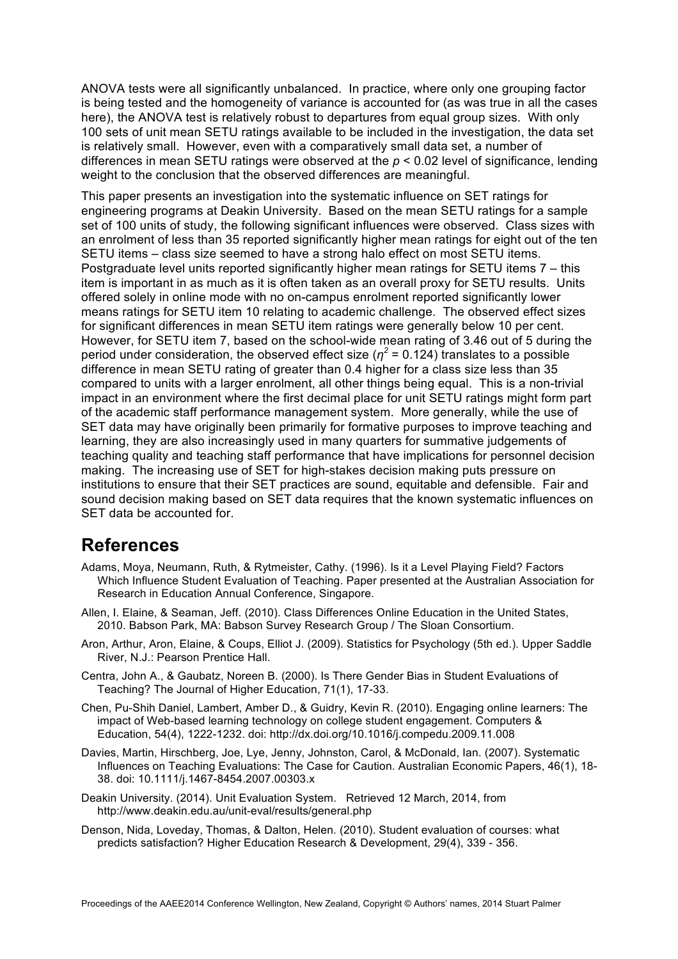ANOVA tests were all significantly unbalanced. In practice, where only one grouping factor is being tested and the homogeneity of variance is accounted for (as was true in all the cases here), the ANOVA test is relatively robust to departures from equal group sizes. With only 100 sets of unit mean SETU ratings available to be included in the investigation, the data set is relatively small. However, even with a comparatively small data set, a number of differences in mean SETU ratings were observed at the *p* < 0.02 level of significance, lending weight to the conclusion that the observed differences are meaningful.

This paper presents an investigation into the systematic influence on SET ratings for engineering programs at Deakin University. Based on the mean SETU ratings for a sample set of 100 units of study, the following significant influences were observed. Class sizes with an enrolment of less than 35 reported significantly higher mean ratings for eight out of the ten SETU items – class size seemed to have a strong halo effect on most SETU items. Postgraduate level units reported significantly higher mean ratings for SETU items 7 – this item is important in as much as it is often taken as an overall proxy for SETU results. Units offered solely in online mode with no on-campus enrolment reported significantly lower means ratings for SETU item 10 relating to academic challenge. The observed effect sizes for significant differences in mean SETU item ratings were generally below 10 per cent. However, for SETU item 7, based on the school-wide mean rating of 3.46 out of 5 during the period under consideration, the observed effect size ( $n^2$  = 0.124) translates to a possible difference in mean SETU rating of greater than 0.4 higher for a class size less than 35 compared to units with a larger enrolment, all other things being equal. This is a non-trivial impact in an environment where the first decimal place for unit SETU ratings might form part of the academic staff performance management system. More generally, while the use of SET data may have originally been primarily for formative purposes to improve teaching and learning, they are also increasingly used in many quarters for summative judgements of teaching quality and teaching staff performance that have implications for personnel decision making. The increasing use of SET for high-stakes decision making puts pressure on institutions to ensure that their SET practices are sound, equitable and defensible. Fair and sound decision making based on SET data requires that the known systematic influences on SET data be accounted for.

## **References**

- Adams, Moya, Neumann, Ruth, & Rytmeister, Cathy. (1996). Is it a Level Playing Field? Factors Which Influence Student Evaluation of Teaching. Paper presented at the Australian Association for Research in Education Annual Conference, Singapore.
- Allen, I. Elaine, & Seaman, Jeff. (2010). Class Differences Online Education in the United States, 2010. Babson Park, MA: Babson Survey Research Group / The Sloan Consortium.
- Aron, Arthur, Aron, Elaine, & Coups, Elliot J. (2009). Statistics for Psychology (5th ed.). Upper Saddle River, N.J.: Pearson Prentice Hall.
- Centra, John A., & Gaubatz, Noreen B. (2000). Is There Gender Bias in Student Evaluations of Teaching? The Journal of Higher Education, 71(1), 17-33.
- Chen, Pu-Shih Daniel, Lambert, Amber D., & Guidry, Kevin R. (2010). Engaging online learners: The impact of Web-based learning technology on college student engagement. Computers & Education, 54(4), 1222-1232. doi: http://dx.doi.org/10.1016/j.compedu.2009.11.008
- Davies, Martin, Hirschberg, Joe, Lye, Jenny, Johnston, Carol, & McDonald, Ian. (2007). Systematic Influences on Teaching Evaluations: The Case for Caution. Australian Economic Papers, 46(1), 18- 38. doi: 10.1111/j.1467-8454.2007.00303.x
- Deakin University. (2014). Unit Evaluation System. Retrieved 12 March, 2014, from http://www.deakin.edu.au/unit-eval/results/general.php
- Denson, Nida, Loveday, Thomas, & Dalton, Helen. (2010). Student evaluation of courses: what predicts satisfaction? Higher Education Research & Development, 29(4), 339 - 356.